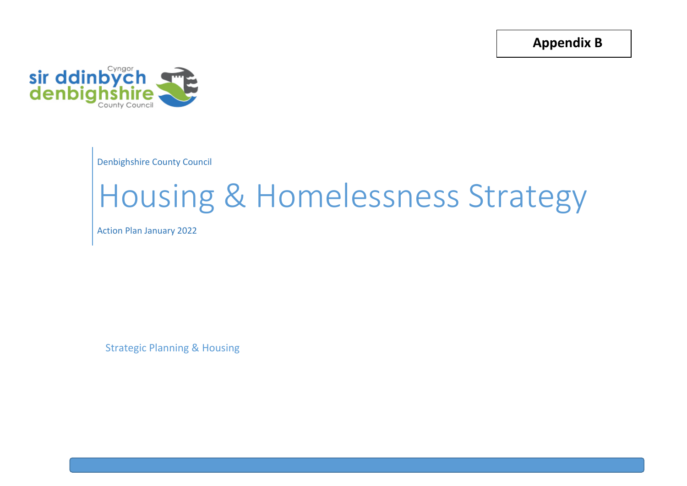**Appendix B**



Denbighshire County Council

## Housing & Homelessness Strategy

Action Plan January 2022

Strategic Planning & Housing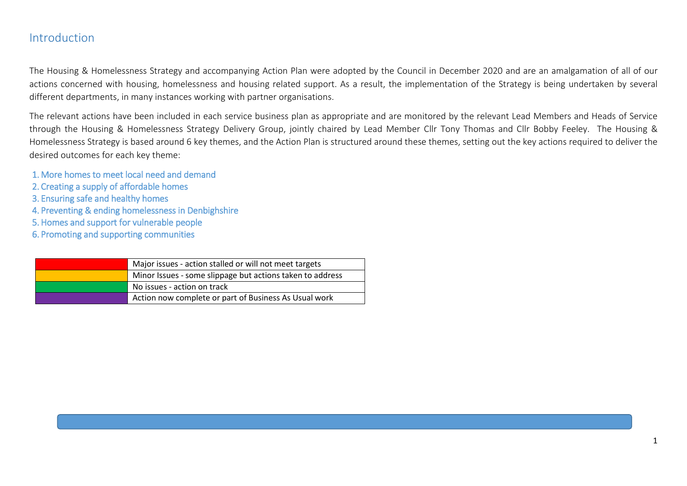## Introduction

The Housing & Homelessness Strategy and accompanying Action Plan were adopted by the Council in December 2020 and are an amalgamation of all of our actions concerned with housing, homelessness and housing related support. As a result, the implementation of the Strategy is being undertaken by several different departments, in many instances working with partner organisations.

The relevant actions have been included in each service business plan as appropriate and are monitored by the relevant Lead Members and Heads of Service through the Housing & Homelessness Strategy Delivery Group, jointly chaired by Lead Member Cllr Tony Thomas and Cllr Bobby Feeley. The Housing & Homelessness Strategy is based around 6 key themes, and the Action Plan is structured around these themes, setting out the key actions required to deliver the desired outcomes for each key theme:

- 1. More homes to meet local need and demand
- 2. Creating a supply of affordable homes
- 3. Ensuring safe and healthy homes
- 4. Preventing & ending homelessness in Denbighshire
- 5. Homes and support for vulnerable people
- 6. Promoting and supporting communities

| Major issues - action stalled or will not meet targets    |
|-----------------------------------------------------------|
| Minor Issues - some slippage but actions taken to address |
| No issues - action on track                               |
| Action now complete or part of Business As Usual work     |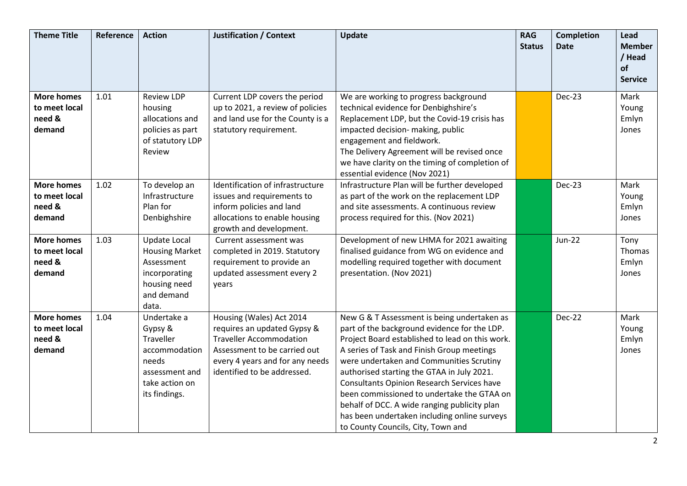| <b>Theme Title</b>                                     | Reference | <b>Action</b>                                                                                                      | <b>Justification / Context</b>                                                                                                                                                              | Update                                                                                                                                                                                                                                                                                                                                                                                                                                                                                                                   | <b>RAG</b><br><b>Status</b> | <b>Completion</b><br><b>Date</b> | Lead<br><b>Member</b>            |
|--------------------------------------------------------|-----------|--------------------------------------------------------------------------------------------------------------------|---------------------------------------------------------------------------------------------------------------------------------------------------------------------------------------------|--------------------------------------------------------------------------------------------------------------------------------------------------------------------------------------------------------------------------------------------------------------------------------------------------------------------------------------------------------------------------------------------------------------------------------------------------------------------------------------------------------------------------|-----------------------------|----------------------------------|----------------------------------|
|                                                        |           |                                                                                                                    |                                                                                                                                                                                             |                                                                                                                                                                                                                                                                                                                                                                                                                                                                                                                          |                             |                                  | / Head<br><b>of</b>              |
|                                                        |           |                                                                                                                    |                                                                                                                                                                                             |                                                                                                                                                                                                                                                                                                                                                                                                                                                                                                                          |                             |                                  | <b>Service</b>                   |
| <b>More homes</b><br>to meet local<br>need &<br>demand | 1.01      | <b>Review LDP</b><br>housing<br>allocations and<br>policies as part<br>of statutory LDP<br>Review                  | Current LDP covers the period<br>up to 2021, a review of policies<br>and land use for the County is a<br>statutory requirement.                                                             | We are working to progress background<br>technical evidence for Denbighshire's<br>Replacement LDP, but the Covid-19 crisis has<br>impacted decision- making, public<br>engagement and fieldwork.<br>The Delivery Agreement will be revised once<br>we have clarity on the timing of completion of<br>essential evidence (Nov 2021)                                                                                                                                                                                       |                             | Dec-23                           | Mark<br>Young<br>Emlyn<br>Jones  |
| <b>More homes</b><br>to meet local<br>need &<br>demand | 1.02      | To develop an<br>Infrastructure<br>Plan for<br>Denbighshire                                                        | Identification of infrastructure<br>issues and requirements to<br>inform policies and land<br>allocations to enable housing<br>growth and development.                                      | Infrastructure Plan will be further developed<br>as part of the work on the replacement LDP<br>and site assessments. A continuous review<br>process required for this. (Nov 2021)                                                                                                                                                                                                                                                                                                                                        |                             | Dec-23                           | Mark<br>Young<br>Emlyn<br>Jones  |
| <b>More homes</b><br>to meet local<br>need &<br>demand | 1.03      | Update Local<br><b>Housing Market</b><br>Assessment<br>incorporating<br>housing need<br>and demand<br>data.        | Current assessment was<br>completed in 2019. Statutory<br>requirement to provide an<br>updated assessment every 2<br>years                                                                  | Development of new LHMA for 2021 awaiting<br>finalised guidance from WG on evidence and<br>modelling required together with document<br>presentation. (Nov 2021)                                                                                                                                                                                                                                                                                                                                                         |                             | <b>Jun-22</b>                    | Tony<br>Thomas<br>Emlyn<br>Jones |
| <b>More homes</b><br>to meet local<br>need &<br>demand | 1.04      | Undertake a<br>Gypsy &<br>Traveller<br>accommodation<br>needs<br>assessment and<br>take action on<br>its findings. | Housing (Wales) Act 2014<br>requires an updated Gypsy &<br><b>Traveller Accommodation</b><br>Assessment to be carried out<br>every 4 years and for any needs<br>identified to be addressed. | New G & T Assessment is being undertaken as<br>part of the background evidence for the LDP.<br>Project Board established to lead on this work.<br>A series of Task and Finish Group meetings<br>were undertaken and Communities Scrutiny<br>authorised starting the GTAA in July 2021.<br>Consultants Opinion Research Services have<br>been commissioned to undertake the GTAA on<br>behalf of DCC. A wide ranging publicity plan<br>has been undertaken including online surveys<br>to County Councils, City, Town and |                             | <b>Dec-22</b>                    | Mark<br>Young<br>Emlyn<br>Jones  |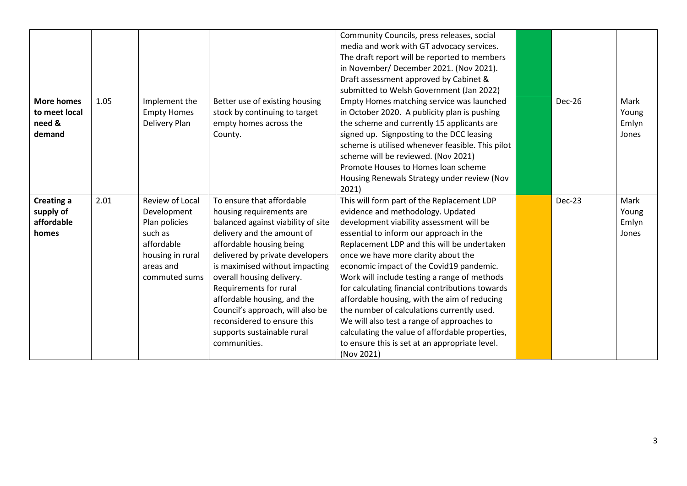|                   |      |                    |                                    | Community Councils, press releases, social       |        |       |
|-------------------|------|--------------------|------------------------------------|--------------------------------------------------|--------|-------|
|                   |      |                    |                                    | media and work with GT advocacy services.        |        |       |
|                   |      |                    |                                    | The draft report will be reported to members     |        |       |
|                   |      |                    |                                    | in November/ December 2021. (Nov 2021).          |        |       |
|                   |      |                    |                                    | Draft assessment approved by Cabinet &           |        |       |
|                   |      |                    |                                    | submitted to Welsh Government (Jan 2022)         |        |       |
| <b>More homes</b> | 1.05 | Implement the      | Better use of existing housing     | Empty Homes matching service was launched        | Dec-26 | Mark  |
| to meet local     |      | <b>Empty Homes</b> | stock by continuing to target      | in October 2020. A publicity plan is pushing     |        | Young |
| need &            |      | Delivery Plan      | empty homes across the             | the scheme and currently 15 applicants are       |        | Emlyn |
| demand            |      |                    | County.                            | signed up. Signposting to the DCC leasing        |        | Jones |
|                   |      |                    |                                    | scheme is utilised whenever feasible. This pilot |        |       |
|                   |      |                    |                                    | scheme will be reviewed. (Nov 2021)              |        |       |
|                   |      |                    |                                    | Promote Houses to Homes loan scheme              |        |       |
|                   |      |                    |                                    | Housing Renewals Strategy under review (Nov      |        |       |
|                   |      |                    |                                    | 2021)                                            |        |       |
| <b>Creating a</b> | 2.01 | Review of Local    | To ensure that affordable          | This will form part of the Replacement LDP       | Dec-23 | Mark  |
| supply of         |      | Development        | housing requirements are           | evidence and methodology. Updated                |        | Young |
| affordable        |      | Plan policies      | balanced against viability of site | development viability assessment will be         |        | Emlyn |
| homes             |      | such as            | delivery and the amount of         | essential to inform our approach in the          |        | Jones |
|                   |      |                    |                                    |                                                  |        |       |
|                   |      | affordable         | affordable housing being           | Replacement LDP and this will be undertaken      |        |       |
|                   |      | housing in rural   | delivered by private developers    | once we have more clarity about the              |        |       |
|                   |      | areas and          | is maximised without impacting     | economic impact of the Covid19 pandemic.         |        |       |
|                   |      | commuted sums      | overall housing delivery.          | Work will include testing a range of methods     |        |       |
|                   |      |                    | Requirements for rural             | for calculating financial contributions towards  |        |       |
|                   |      |                    | affordable housing, and the        | affordable housing, with the aim of reducing     |        |       |
|                   |      |                    | Council's approach, will also be   | the number of calculations currently used.       |        |       |
|                   |      |                    | reconsidered to ensure this        | We will also test a range of approaches to       |        |       |
|                   |      |                    | supports sustainable rural         | calculating the value of affordable properties,  |        |       |
|                   |      |                    | communities.                       | to ensure this is set at an appropriate level.   |        |       |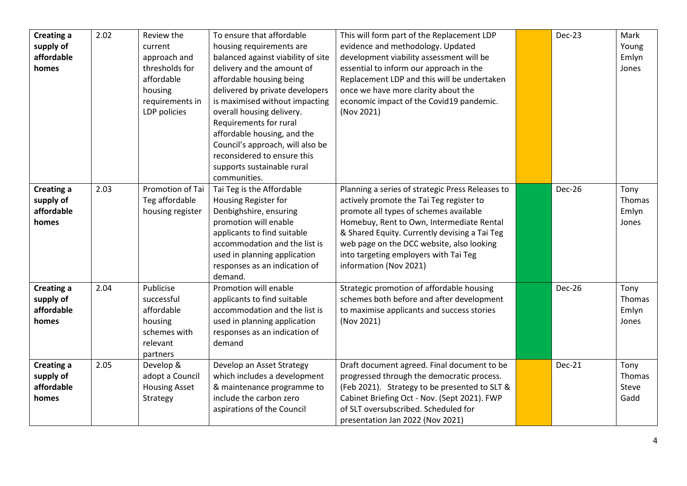| Creating a<br>supply of<br>affordable<br>homes | 2.02 | Review the<br>current<br>approach and<br>thresholds for<br>affordable<br>housing<br>requirements in<br>LDP policies | To ensure that affordable<br>housing requirements are<br>balanced against viability of site<br>delivery and the amount of<br>affordable housing being<br>delivered by private developers<br>is maximised without impacting<br>overall housing delivery.<br>Requirements for rural<br>affordable housing, and the<br>Council's approach, will also be | This will form part of the Replacement LDP<br>evidence and methodology. Updated<br>development viability assessment will be<br>essential to inform our approach in the<br>Replacement LDP and this will be undertaken<br>once we have more clarity about the<br>economic impact of the Covid19 pandemic.<br>(Nov 2021)                               | Dec-23        | Mark<br>Young<br>Emlyn<br>Jones  |
|------------------------------------------------|------|---------------------------------------------------------------------------------------------------------------------|------------------------------------------------------------------------------------------------------------------------------------------------------------------------------------------------------------------------------------------------------------------------------------------------------------------------------------------------------|------------------------------------------------------------------------------------------------------------------------------------------------------------------------------------------------------------------------------------------------------------------------------------------------------------------------------------------------------|---------------|----------------------------------|
|                                                |      |                                                                                                                     | reconsidered to ensure this<br>supports sustainable rural<br>communities.                                                                                                                                                                                                                                                                            |                                                                                                                                                                                                                                                                                                                                                      |               |                                  |
| Creating a<br>supply of<br>affordable<br>homes | 2.03 | Promotion of Tai<br>Teg affordable<br>housing register                                                              | Tai Teg is the Affordable<br>Housing Register for<br>Denbighshire, ensuring<br>promotion will enable<br>applicants to find suitable<br>accommodation and the list is<br>used in planning application<br>responses as an indication of<br>demand.                                                                                                     | Planning a series of strategic Press Releases to<br>actively promote the Tai Teg register to<br>promote all types of schemes available<br>Homebuy, Rent to Own, Intermediate Rental<br>& Shared Equity. Currently devising a Tai Teg<br>web page on the DCC website, also looking<br>into targeting employers with Tai Teg<br>information (Nov 2021) | Dec-26        | Tony<br>Thomas<br>Emlyn<br>Jones |
| Creating a<br>supply of<br>affordable<br>homes | 2.04 | Publicise<br>successful<br>affordable<br>housing<br>schemes with<br>relevant<br>partners                            | Promotion will enable<br>applicants to find suitable<br>accommodation and the list is<br>used in planning application<br>responses as an indication of<br>demand                                                                                                                                                                                     | Strategic promotion of affordable housing<br>schemes both before and after development<br>to maximise applicants and success stories<br>(Nov 2021)                                                                                                                                                                                                   | <b>Dec-26</b> | Tony<br>Thomas<br>Emlyn<br>Jones |
| Creating a<br>supply of<br>affordable<br>homes | 2.05 | Develop &<br>adopt a Council<br><b>Housing Asset</b><br>Strategy                                                    | Develop an Asset Strategy<br>which includes a development<br>& maintenance programme to<br>include the carbon zero<br>aspirations of the Council                                                                                                                                                                                                     | Draft document agreed. Final document to be<br>progressed through the democratic process.<br>(Feb 2021). Strategy to be presented to SLT &<br>Cabinet Briefing Oct - Nov. (Sept 2021). FWP<br>of SLT oversubscribed. Scheduled for<br>presentation Jan 2022 (Nov 2021)                                                                               | <b>Dec-21</b> | Tony<br>Thomas<br>Steve<br>Gadd  |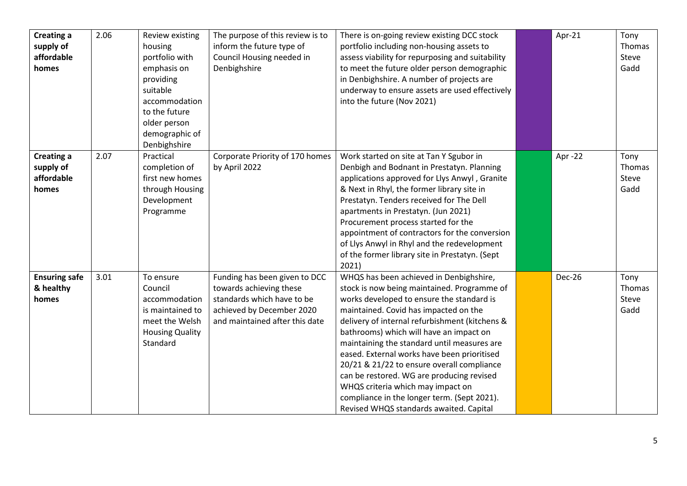| Creating a<br>supply of<br>affordable<br>homes        | 2.06 | Review existing<br>housing<br>portfolio with<br>emphasis on<br>providing<br>suitable<br>accommodation<br>to the future<br>older person<br>demographic of<br>Denbighshire | The purpose of this review is to<br>inform the future type of<br>Council Housing needed in<br>Denbighshire                                            | There is on-going review existing DCC stock<br>portfolio including non-housing assets to<br>assess viability for repurposing and suitability<br>to meet the future older person demographic<br>in Denbighshire. A number of projects are<br>underway to ensure assets are used effectively<br>into the future (Nov 2021)                                                                                                                                                                                                                                                                          | Apr-21  | Tony<br>Thomas<br>Steve<br>Gadd |
|-------------------------------------------------------|------|--------------------------------------------------------------------------------------------------------------------------------------------------------------------------|-------------------------------------------------------------------------------------------------------------------------------------------------------|---------------------------------------------------------------------------------------------------------------------------------------------------------------------------------------------------------------------------------------------------------------------------------------------------------------------------------------------------------------------------------------------------------------------------------------------------------------------------------------------------------------------------------------------------------------------------------------------------|---------|---------------------------------|
| <b>Creating a</b><br>supply of<br>affordable<br>homes | 2.07 | Practical<br>completion of<br>first new homes<br>through Housing<br>Development<br>Programme                                                                             | Corporate Priority of 170 homes<br>by April 2022                                                                                                      | Work started on site at Tan Y Sgubor in<br>Denbigh and Bodnant in Prestatyn. Planning<br>applications approved for Llys Anwyl, Granite<br>& Next in Rhyl, the former library site in<br>Prestatyn. Tenders received for The Dell<br>apartments in Prestatyn. (Jun 2021)<br>Procurement process started for the<br>appointment of contractors for the conversion<br>of Llys Anwyl in Rhyl and the redevelopment<br>of the former library site in Prestatyn. (Sept<br>2021)                                                                                                                         | Apr -22 | Tony<br>Thomas<br>Steve<br>Gadd |
| <b>Ensuring safe</b><br>& healthy<br>homes            | 3.01 | To ensure<br>Council<br>accommodation<br>is maintained to<br>meet the Welsh<br><b>Housing Quality</b><br>Standard                                                        | Funding has been given to DCC<br>towards achieving these<br>standards which have to be<br>achieved by December 2020<br>and maintained after this date | WHQS has been achieved in Denbighshire,<br>stock is now being maintained. Programme of<br>works developed to ensure the standard is<br>maintained. Covid has impacted on the<br>delivery of internal refurbishment (kitchens &<br>bathrooms) which will have an impact on<br>maintaining the standard until measures are<br>eased. External works have been prioritised<br>20/21 & 21/22 to ensure overall compliance<br>can be restored. WG are producing revised<br>WHQS criteria which may impact on<br>compliance in the longer term. (Sept 2021).<br>Revised WHQS standards awaited. Capital | Dec-26  | Tony<br>Thomas<br>Steve<br>Gadd |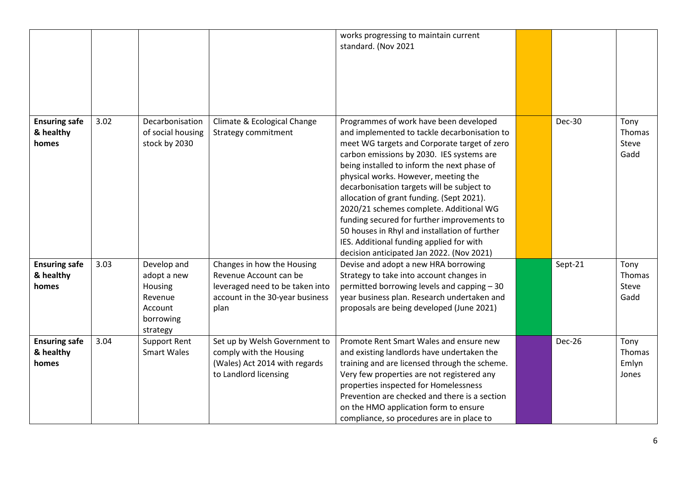|                                            |      |                                                                                      |                                                                                                                                    | works progressing to maintain current<br>standard. (Nov 2021                                                                                                                                                                                                                                                                                                                                                                                                                                                                                                                                              |               |                                         |
|--------------------------------------------|------|--------------------------------------------------------------------------------------|------------------------------------------------------------------------------------------------------------------------------------|-----------------------------------------------------------------------------------------------------------------------------------------------------------------------------------------------------------------------------------------------------------------------------------------------------------------------------------------------------------------------------------------------------------------------------------------------------------------------------------------------------------------------------------------------------------------------------------------------------------|---------------|-----------------------------------------|
| <b>Ensuring safe</b><br>& healthy<br>homes | 3.02 | Decarbonisation<br>of social housing<br>stock by 2030                                | Climate & Ecological Change<br><b>Strategy commitment</b>                                                                          | Programmes of work have been developed<br>and implemented to tackle decarbonisation to<br>meet WG targets and Corporate target of zero<br>carbon emissions by 2030. IES systems are<br>being installed to inform the next phase of<br>physical works. However, meeting the<br>decarbonisation targets will be subject to<br>allocation of grant funding. (Sept 2021).<br>2020/21 schemes complete. Additional WG<br>funding secured for further improvements to<br>50 houses in Rhyl and installation of further<br>IES. Additional funding applied for with<br>decision anticipated Jan 2022. (Nov 2021) | <b>Dec-30</b> | Tony<br><b>Thomas</b><br>Steve<br>Gadd  |
| <b>Ensuring safe</b><br>& healthy<br>homes | 3.03 | Develop and<br>adopt a new<br>Housing<br>Revenue<br>Account<br>borrowing<br>strategy | Changes in how the Housing<br>Revenue Account can be<br>leveraged need to be taken into<br>account in the 30-year business<br>plan | Devise and adopt a new HRA borrowing<br>Strategy to take into account changes in<br>permitted borrowing levels and capping - 30<br>year business plan. Research undertaken and<br>proposals are being developed (June 2021)                                                                                                                                                                                                                                                                                                                                                                               | Sept-21       | Tony<br>Thomas<br>Steve<br>Gadd         |
| <b>Ensuring safe</b><br>& healthy<br>homes | 3.04 | <b>Support Rent</b><br><b>Smart Wales</b>                                            | Set up by Welsh Government to<br>comply with the Housing<br>(Wales) Act 2014 with regards<br>to Landlord licensing                 | Promote Rent Smart Wales and ensure new<br>and existing landlords have undertaken the<br>training and are licensed through the scheme.<br>Very few properties are not registered any<br>properties inspected for Homelessness<br>Prevention are checked and there is a section<br>on the HMO application form to ensure<br>compliance, so procedures are in place to                                                                                                                                                                                                                                      | Dec-26        | Tony<br><b>Thomas</b><br>Emlyn<br>Jones |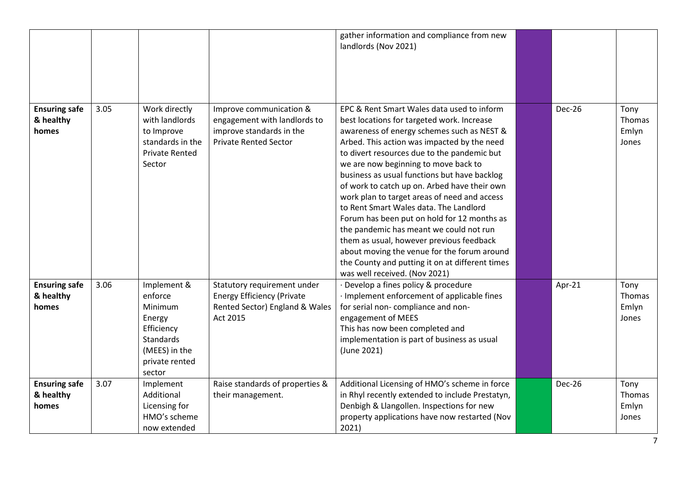|                                            |      |                                                                                                                     |                                                                                                                     | gather information and compliance from new<br>landlords (Nov 2021)                                                                                                                                                                                                                                                                                                                                                                                                                                                                                                                                                                                                                                                                              |        |                                  |
|--------------------------------------------|------|---------------------------------------------------------------------------------------------------------------------|---------------------------------------------------------------------------------------------------------------------|-------------------------------------------------------------------------------------------------------------------------------------------------------------------------------------------------------------------------------------------------------------------------------------------------------------------------------------------------------------------------------------------------------------------------------------------------------------------------------------------------------------------------------------------------------------------------------------------------------------------------------------------------------------------------------------------------------------------------------------------------|--------|----------------------------------|
| <b>Ensuring safe</b><br>& healthy<br>homes | 3.05 | Work directly<br>with landlords<br>to Improve<br>standards in the<br><b>Private Rented</b><br>Sector                | Improve communication &<br>engagement with landlords to<br>improve standards in the<br><b>Private Rented Sector</b> | EPC & Rent Smart Wales data used to inform<br>best locations for targeted work. Increase<br>awareness of energy schemes such as NEST &<br>Arbed. This action was impacted by the need<br>to divert resources due to the pandemic but<br>we are now beginning to move back to<br>business as usual functions but have backlog<br>of work to catch up on. Arbed have their own<br>work plan to target areas of need and access<br>to Rent Smart Wales data. The Landlord<br>Forum has been put on hold for 12 months as<br>the pandemic has meant we could not run<br>them as usual, however previous feedback<br>about moving the venue for the forum around<br>the County and putting it on at different times<br>was well received. (Nov 2021) | Dec-26 | Tony<br>Thomas<br>Emlyn<br>Jones |
| <b>Ensuring safe</b><br>& healthy<br>homes | 3.06 | Implement &<br>enforce<br>Minimum<br>Energy<br>Efficiency<br>Standards<br>(MEES) in the<br>private rented<br>sector | Statutory requirement under<br><b>Energy Efficiency (Private</b><br>Rented Sector) England & Wales<br>Act 2015      | · Develop a fines policy & procedure<br>· Implement enforcement of applicable fines<br>for serial non-compliance and non-<br>engagement of MEES<br>This has now been completed and<br>implementation is part of business as usual<br>(June 2021)                                                                                                                                                                                                                                                                                                                                                                                                                                                                                                | Apr-21 | Tony<br>Thomas<br>Emlyn<br>Jones |
| <b>Ensuring safe</b><br>& healthy<br>homes | 3.07 | Implement<br>Additional<br>Licensing for<br>HMO's scheme<br>now extended                                            | Raise standards of properties &<br>their management.                                                                | Additional Licensing of HMO's scheme in force<br>in Rhyl recently extended to include Prestatyn,<br>Denbigh & Llangollen. Inspections for new<br>property applications have now restarted (Nov<br>2021)                                                                                                                                                                                                                                                                                                                                                                                                                                                                                                                                         | Dec-26 | Tony<br>Thomas<br>Emlyn<br>Jones |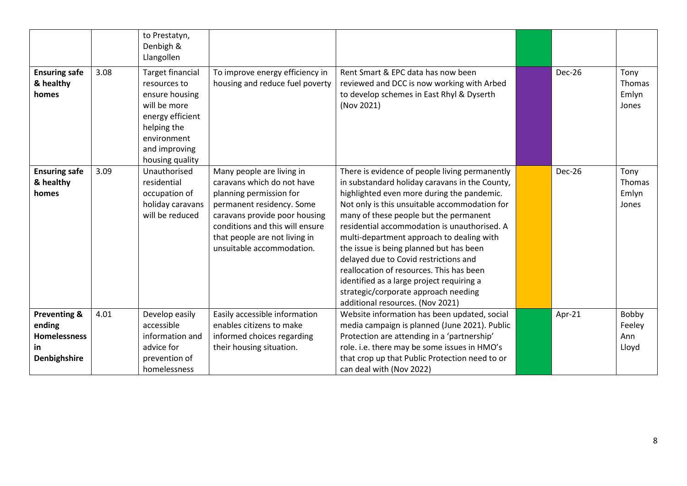|                                                                                |      | to Prestatyn,<br>Denbigh &<br>Llangollen                                                                                                                        |                                                                                                                                                                                                                                                   |                                                                                                                                                                                                                                                                                                                                                                                                                                                                                                                                                                                                 |               |                                  |
|--------------------------------------------------------------------------------|------|-----------------------------------------------------------------------------------------------------------------------------------------------------------------|---------------------------------------------------------------------------------------------------------------------------------------------------------------------------------------------------------------------------------------------------|-------------------------------------------------------------------------------------------------------------------------------------------------------------------------------------------------------------------------------------------------------------------------------------------------------------------------------------------------------------------------------------------------------------------------------------------------------------------------------------------------------------------------------------------------------------------------------------------------|---------------|----------------------------------|
| <b>Ensuring safe</b><br>& healthy<br>homes                                     | 3.08 | <b>Target financial</b><br>resources to<br>ensure housing<br>will be more<br>energy efficient<br>helping the<br>environment<br>and improving<br>housing quality | To improve energy efficiency in<br>housing and reduce fuel poverty                                                                                                                                                                                | Rent Smart & EPC data has now been<br>reviewed and DCC is now working with Arbed<br>to develop schemes in East Rhyl & Dyserth<br>(Nov 2021)                                                                                                                                                                                                                                                                                                                                                                                                                                                     | Dec-26        | Tony<br>Thomas<br>Emlyn<br>Jones |
| <b>Ensuring safe</b><br>& healthy<br>homes                                     | 3.09 | Unauthorised<br>residential<br>occupation of<br>holiday caravans<br>will be reduced                                                                             | Many people are living in<br>caravans which do not have<br>planning permission for<br>permanent residency. Some<br>caravans provide poor housing<br>conditions and this will ensure<br>that people are not living in<br>unsuitable accommodation. | There is evidence of people living permanently<br>in substandard holiday caravans in the County,<br>highlighted even more during the pandemic.<br>Not only is this unsuitable accommodation for<br>many of these people but the permanent<br>residential accommodation is unauthorised. A<br>multi-department approach to dealing with<br>the issue is being planned but has been<br>delayed due to Covid restrictions and<br>reallocation of resources. This has been<br>identified as a large project requiring a<br>strategic/corporate approach needing<br>additional resources. (Nov 2021) | <b>Dec-26</b> | Tony<br>Thomas<br>Emlyn<br>Jones |
| <b>Preventing &amp;</b><br>ending<br><b>Homelessness</b><br>in<br>Denbighshire | 4.01 | Develop easily<br>accessible<br>information and<br>advice for<br>prevention of<br>homelessness                                                                  | Easily accessible information<br>enables citizens to make<br>informed choices regarding<br>their housing situation.                                                                                                                               | Website information has been updated, social<br>media campaign is planned (June 2021). Public<br>Protection are attending in a 'partnership'<br>role. i.e. there may be some issues in HMO's<br>that crop up that Public Protection need to or<br>can deal with (Nov 2022)                                                                                                                                                                                                                                                                                                                      | Apr-21        | Bobby<br>Feeley<br>Ann<br>Lloyd  |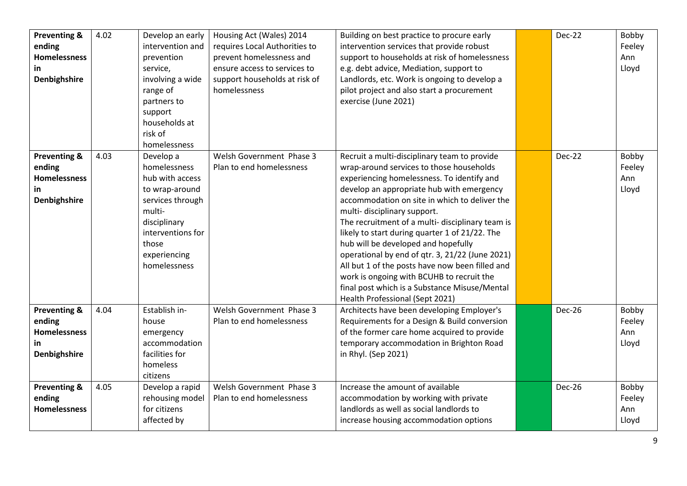| <b>Preventing &amp;</b> | 4.02 | Develop an early  | Housing Act (Wales) 2014      | Building on best practice to procure early       | Dec-22        | Bobby  |
|-------------------------|------|-------------------|-------------------------------|--------------------------------------------------|---------------|--------|
| ending                  |      | intervention and  | requires Local Authorities to | intervention services that provide robust        |               | Feeley |
| <b>Homelessness</b>     |      | prevention        | prevent homelessness and      | support to households at risk of homelessness    |               | Ann    |
| in                      |      | service,          | ensure access to services to  | e.g. debt advice, Mediation, support to          |               | Lloyd  |
| Denbighshire            |      | involving a wide  | support households at risk of | Landlords, etc. Work is ongoing to develop a     |               |        |
|                         |      | range of          | homelessness                  | pilot project and also start a procurement       |               |        |
|                         |      | partners to       |                               | exercise (June 2021)                             |               |        |
|                         |      | support           |                               |                                                  |               |        |
|                         |      | households at     |                               |                                                  |               |        |
|                         |      | risk of           |                               |                                                  |               |        |
|                         |      | homelessness      |                               |                                                  |               |        |
| <b>Preventing &amp;</b> | 4.03 | Develop a         | Welsh Government Phase 3      | Recruit a multi-disciplinary team to provide     | <b>Dec-22</b> | Bobby  |
| ending                  |      | homelessness      | Plan to end homelessness      | wrap-around services to those households         |               | Feeley |
| <b>Homelessness</b>     |      | hub with access   |                               | experiencing homelessness. To identify and       |               | Ann    |
| in.                     |      | to wrap-around    |                               | develop an appropriate hub with emergency        |               | Lloyd  |
| <b>Denbighshire</b>     |      | services through  |                               | accommodation on site in which to deliver the    |               |        |
|                         |      | multi-            |                               | multi-disciplinary support.                      |               |        |
|                         |      | disciplinary      |                               | The recruitment of a multi- disciplinary team is |               |        |
|                         |      | interventions for |                               | likely to start during quarter 1 of 21/22. The   |               |        |
|                         |      | those             |                               | hub will be developed and hopefully              |               |        |
|                         |      | experiencing      |                               | operational by end of qtr. 3, 21/22 (June 2021)  |               |        |
|                         |      | homelessness      |                               | All but 1 of the posts have now been filled and  |               |        |
|                         |      |                   |                               | work is ongoing with BCUHB to recruit the        |               |        |
|                         |      |                   |                               | final post which is a Substance Misuse/Mental    |               |        |
|                         |      |                   |                               | Health Professional (Sept 2021)                  |               |        |
| <b>Preventing &amp;</b> | 4.04 | Establish in-     | Welsh Government Phase 3      | Architects have been developing Employer's       | Dec-26        | Bobby  |
| ending                  |      | house             | Plan to end homelessness      | Requirements for a Design & Build conversion     |               | Feeley |
| <b>Homelessness</b>     |      | emergency         |                               | of the former care home acquired to provide      |               | Ann    |
| in                      |      | accommodation     |                               | temporary accommodation in Brighton Road         |               | Lloyd  |
| Denbighshire            |      | facilities for    |                               | in Rhyl. (Sep 2021)                              |               |        |
|                         |      | homeless          |                               |                                                  |               |        |
|                         |      | citizens          |                               |                                                  |               |        |
| Preventing &            | 4.05 | Develop a rapid   | Welsh Government Phase 3      | Increase the amount of available                 | <b>Dec-26</b> | Bobby  |
| ending                  |      | rehousing model   | Plan to end homelessness      | accommodation by working with private            |               | Feeley |
| <b>Homelessness</b>     |      | for citizens      |                               | landlords as well as social landlords to         |               | Ann    |
|                         |      | affected by       |                               | increase housing accommodation options           |               | Lloyd  |
|                         |      |                   |                               |                                                  |               |        |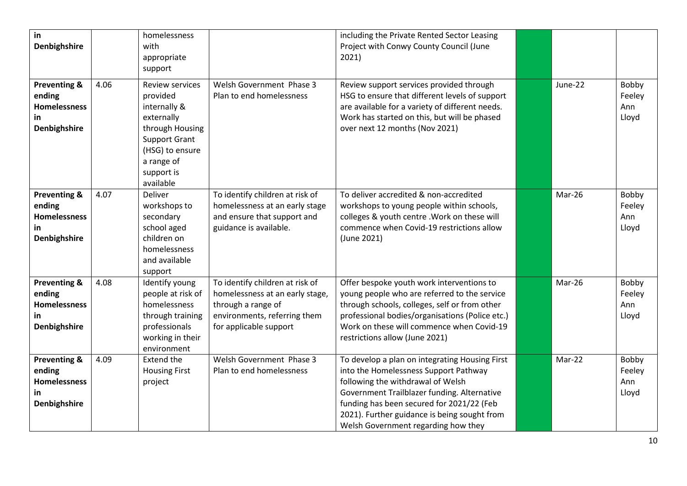| in<br><b>Denbighshire</b>                                                      |      | homelessness<br>with<br>appropriate<br>support                                                                                                                   |                                                                                                                                                    | including the Private Rented Sector Leasing<br>Project with Conwy County Council (June<br>2021)                                                                                                                                                                                                                 |         |                                 |
|--------------------------------------------------------------------------------|------|------------------------------------------------------------------------------------------------------------------------------------------------------------------|----------------------------------------------------------------------------------------------------------------------------------------------------|-----------------------------------------------------------------------------------------------------------------------------------------------------------------------------------------------------------------------------------------------------------------------------------------------------------------|---------|---------------------------------|
| <b>Preventing &amp;</b><br>ending<br><b>Homelessness</b><br>in<br>Denbighshire | 4.06 | Review services<br>provided<br>internally &<br>externally<br>through Housing<br><b>Support Grant</b><br>(HSG) to ensure<br>a range of<br>support is<br>available | Welsh Government Phase 3<br>Plan to end homelessness                                                                                               | Review support services provided through<br>HSG to ensure that different levels of support<br>are available for a variety of different needs.<br>Work has started on this, but will be phased<br>over next 12 months (Nov 2021)                                                                                 | June-22 | Bobby<br>Feeley<br>Ann<br>Lloyd |
| <b>Preventing &amp;</b><br>ending<br><b>Homelessness</b><br>in<br>Denbighshire | 4.07 | Deliver<br>workshops to<br>secondary<br>school aged<br>children on<br>homelessness<br>and available<br>support                                                   | To identify children at risk of<br>homelessness at an early stage<br>and ensure that support and<br>guidance is available.                         | To deliver accredited & non-accredited<br>workshops to young people within schools,<br>colleges & youth centre . Work on these will<br>commence when Covid-19 restrictions allow<br>(June 2021)                                                                                                                 | Mar-26  | Bobby<br>Feeley<br>Ann<br>Lloyd |
| <b>Preventing &amp;</b><br>ending<br><b>Homelessness</b><br>in<br>Denbighshire | 4.08 | Identify young<br>people at risk of<br>homelessness<br>through training<br>professionals<br>working in their<br>environment                                      | To identify children at risk of<br>homelessness at an early stage,<br>through a range of<br>environments, referring them<br>for applicable support | Offer bespoke youth work interventions to<br>young people who are referred to the service<br>through schools, colleges, self or from other<br>professional bodies/organisations (Police etc.)<br>Work on these will commence when Covid-19<br>restrictions allow (June 2021)                                    | Mar-26  | Bobby<br>Feeley<br>Ann<br>Lloyd |
| <b>Preventing &amp;</b><br>ending<br><b>Homelessness</b><br>in<br>Denbighshire | 4.09 | <b>Extend the</b><br><b>Housing First</b><br>project                                                                                                             | Welsh Government Phase 3<br>Plan to end homelessness                                                                                               | To develop a plan on integrating Housing First<br>into the Homelessness Support Pathway<br>following the withdrawal of Welsh<br>Government Trailblazer funding. Alternative<br>funding has been secured for 2021/22 (Feb<br>2021). Further guidance is being sought from<br>Welsh Government regarding how they | Mar-22  | Bobby<br>Feeley<br>Ann<br>Lloyd |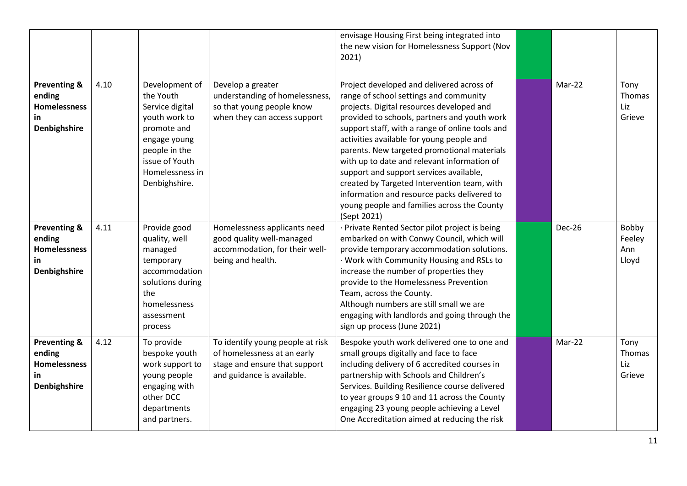|                                                                                |      |                                                                                                                                                                       |                                                                                                                                | envisage Housing First being integrated into<br>the new vision for Homelessness Support (Nov<br>2021)                                                                                                                                                                                                                                                                                                                                                                                                                                                                                 |               |                                 |
|--------------------------------------------------------------------------------|------|-----------------------------------------------------------------------------------------------------------------------------------------------------------------------|--------------------------------------------------------------------------------------------------------------------------------|---------------------------------------------------------------------------------------------------------------------------------------------------------------------------------------------------------------------------------------------------------------------------------------------------------------------------------------------------------------------------------------------------------------------------------------------------------------------------------------------------------------------------------------------------------------------------------------|---------------|---------------------------------|
| <b>Preventing &amp;</b><br>ending<br><b>Homelessness</b><br>in<br>Denbighshire | 4.10 | Development of<br>the Youth<br>Service digital<br>youth work to<br>promote and<br>engage young<br>people in the<br>issue of Youth<br>Homelessness in<br>Denbighshire. | Develop a greater<br>understanding of homelessness,<br>so that young people know<br>when they can access support               | Project developed and delivered across of<br>range of school settings and community<br>projects. Digital resources developed and<br>provided to schools, partners and youth work<br>support staff, with a range of online tools and<br>activities available for young people and<br>parents. New targeted promotional materials<br>with up to date and relevant information of<br>support and support services available,<br>created by Targeted Intervention team, with<br>information and resource packs delivered to<br>young people and families across the County<br>(Sept 2021) | Mar-22        | Tony<br>Thomas<br>Liz<br>Grieve |
| <b>Preventing &amp;</b><br>ending<br><b>Homelessness</b><br>in<br>Denbighshire | 4.11 | Provide good<br>quality, well<br>managed<br>temporary<br>accommodation<br>solutions during<br>the<br>homelessness<br>assessment<br>process                            | Homelessness applicants need<br>good quality well-managed<br>accommodation, for their well-<br>being and health.               | · Private Rented Sector pilot project is being<br>embarked on with Conwy Council, which will<br>provide temporary accommodation solutions.<br>· Work with Community Housing and RSLs to<br>increase the number of properties they<br>provide to the Homelessness Prevention<br>Team, across the County.<br>Although numbers are still small we are<br>engaging with landlords and going through the<br>sign up process (June 2021)                                                                                                                                                    | <b>Dec-26</b> | Bobby<br>Feeley<br>Ann<br>Lloyd |
| <b>Preventing &amp;</b><br>ending<br><b>Homelessness</b><br>in<br>Denbighshire | 4.12 | To provide<br>bespoke youth<br>work support to<br>young people<br>engaging with<br>other DCC<br>departments<br>and partners.                                          | To identify young people at risk<br>of homelessness at an early<br>stage and ensure that support<br>and guidance is available. | Bespoke youth work delivered one to one and<br>small groups digitally and face to face<br>including delivery of 6 accredited courses in<br>partnership with Schools and Children's<br>Services. Building Resilience course delivered<br>to year groups 9 10 and 11 across the County<br>engaging 23 young people achieving a Level<br>One Accreditation aimed at reducing the risk                                                                                                                                                                                                    | Mar-22        | Tony<br>Thomas<br>Liz<br>Grieve |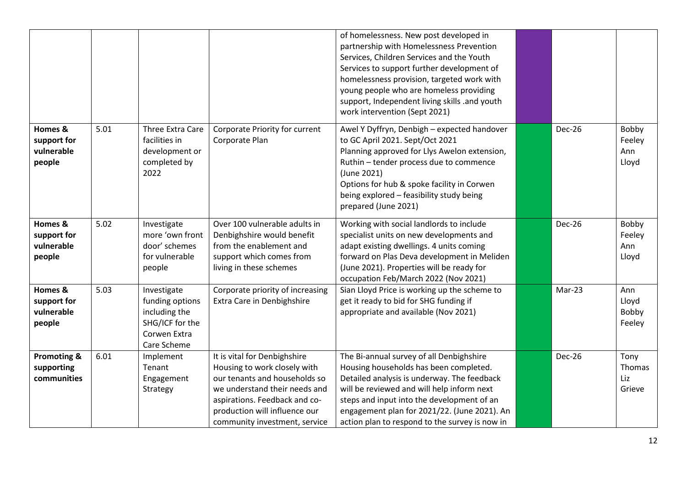|                                                     |      |                                                                                                   |                                                                                                                                                                                                                                   | of homelessness. New post developed in<br>partnership with Homelessness Prevention<br>Services, Children Services and the Youth<br>Services to support further development of<br>homelessness provision, targeted work with<br>young people who are homeless providing<br>support, Independent living skills .and youth<br>work intervention (Sept 2021) |               |                                 |
|-----------------------------------------------------|------|---------------------------------------------------------------------------------------------------|-----------------------------------------------------------------------------------------------------------------------------------------------------------------------------------------------------------------------------------|----------------------------------------------------------------------------------------------------------------------------------------------------------------------------------------------------------------------------------------------------------------------------------------------------------------------------------------------------------|---------------|---------------------------------|
| Homes &<br>support for<br>vulnerable<br>people      | 5.01 | Three Extra Care<br>facilities in<br>development or<br>completed by<br>2022                       | Corporate Priority for current<br>Corporate Plan                                                                                                                                                                                  | Awel Y Dyffryn, Denbigh - expected handover<br>to GC April 2021. Sept/Oct 2021<br>Planning approved for Llys Awelon extension,<br>Ruthin - tender process due to commence<br>(June 2021)<br>Options for hub & spoke facility in Corwen<br>being explored - feasibility study being<br>prepared (June 2021)                                               | <b>Dec-26</b> | Bobby<br>Feeley<br>Ann<br>Lloyd |
| Homes &<br>support for<br>vulnerable<br>people      | 5.02 | Investigate<br>more 'own front<br>door' schemes<br>for vulnerable<br>people                       | Over 100 vulnerable adults in<br>Denbighshire would benefit<br>from the enablement and<br>support which comes from<br>living in these schemes                                                                                     | Working with social landlords to include<br>specialist units on new developments and<br>adapt existing dwellings. 4 units coming<br>forward on Plas Deva development in Meliden<br>(June 2021). Properties will be ready for<br>occupation Feb/March 2022 (Nov 2021)                                                                                     | <b>Dec-26</b> | Bobby<br>Feeley<br>Ann<br>Lloyd |
| Homes &<br>support for<br>vulnerable<br>people      | 5.03 | Investigate<br>funding options<br>including the<br>SHG/ICF for the<br>Corwen Extra<br>Care Scheme | Corporate priority of increasing<br>Extra Care in Denbighshire                                                                                                                                                                    | Sian Lloyd Price is working up the scheme to<br>get it ready to bid for SHG funding if<br>appropriate and available (Nov 2021)                                                                                                                                                                                                                           | Mar-23        | Ann<br>Lloyd<br>Bobby<br>Feeley |
| <b>Promoting &amp;</b><br>supporting<br>communities | 6.01 | Implement<br>Tenant<br>Engagement<br>Strategy                                                     | It is vital for Denbighshire<br>Housing to work closely with<br>our tenants and households so<br>we understand their needs and<br>aspirations. Feedback and co-<br>production will influence our<br>community investment, service | The Bi-annual survey of all Denbighshire<br>Housing households has been completed.<br>Detailed analysis is underway. The feedback<br>will be reviewed and will help inform next<br>steps and input into the development of an<br>engagement plan for 2021/22. (June 2021). An<br>action plan to respond to the survey is now in                          | Dec-26        | Tony<br>Thomas<br>Liz<br>Grieve |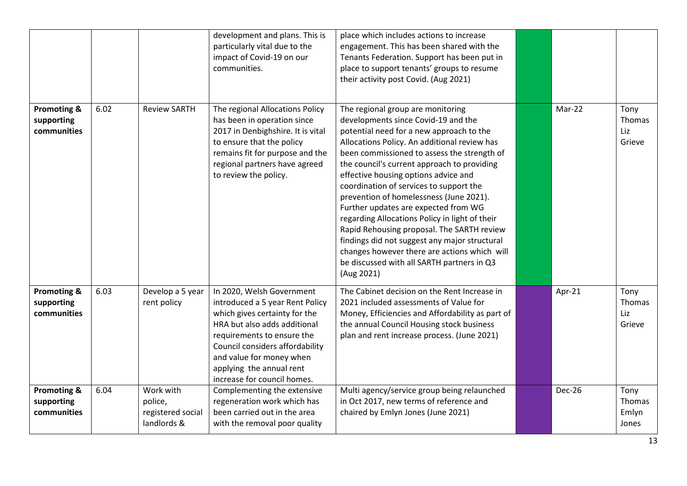|                                                     |      |                                                          | development and plans. This is<br>particularly vital due to the<br>impact of Covid-19 on our<br>communities.                                                                                                                                                                          | place which includes actions to increase<br>engagement. This has been shared with the<br>Tenants Federation. Support has been put in<br>place to support tenants' groups to resume<br>their activity post Covid. (Aug 2021)                                                                                                                                                                                                                                                                                                                                                                                                                                                                           |        |                                  |
|-----------------------------------------------------|------|----------------------------------------------------------|---------------------------------------------------------------------------------------------------------------------------------------------------------------------------------------------------------------------------------------------------------------------------------------|-------------------------------------------------------------------------------------------------------------------------------------------------------------------------------------------------------------------------------------------------------------------------------------------------------------------------------------------------------------------------------------------------------------------------------------------------------------------------------------------------------------------------------------------------------------------------------------------------------------------------------------------------------------------------------------------------------|--------|----------------------------------|
| <b>Promoting &amp;</b><br>supporting<br>communities | 6.02 | <b>Review SARTH</b>                                      | The regional Allocations Policy<br>has been in operation since<br>2017 in Denbighshire. It is vital<br>to ensure that the policy<br>remains fit for purpose and the<br>regional partners have agreed<br>to review the policy.                                                         | The regional group are monitoring<br>developments since Covid-19 and the<br>potential need for a new approach to the<br>Allocations Policy. An additional review has<br>been commissioned to assess the strength of<br>the council's current approach to providing<br>effective housing options advice and<br>coordination of services to support the<br>prevention of homelessness (June 2021).<br>Further updates are expected from WG<br>regarding Allocations Policy in light of their<br>Rapid Rehousing proposal. The SARTH review<br>findings did not suggest any major structural<br>changes however there are actions which will<br>be discussed with all SARTH partners in Q3<br>(Aug 2021) | Mar-22 | Tony<br>Thomas<br>Liz<br>Grieve  |
| Promoting &<br>supporting<br>communities            | 6.03 | Develop a 5 year<br>rent policy                          | In 2020, Welsh Government<br>introduced a 5 year Rent Policy<br>which gives certainty for the<br>HRA but also adds additional<br>requirements to ensure the<br>Council considers affordability<br>and value for money when<br>applying the annual rent<br>increase for council homes. | The Cabinet decision on the Rent Increase in<br>2021 included assessments of Value for<br>Money, Efficiencies and Affordability as part of<br>the annual Council Housing stock business<br>plan and rent increase process. (June 2021)                                                                                                                                                                                                                                                                                                                                                                                                                                                                | Apr-21 | Tony<br>Thomas<br>Liz<br>Grieve  |
| Promoting &<br>supporting<br>communities            | 6.04 | Work with<br>police,<br>registered social<br>landlords & | Complementing the extensive<br>regeneration work which has<br>been carried out in the area<br>with the removal poor quality                                                                                                                                                           | Multi agency/service group being relaunched<br>in Oct 2017, new terms of reference and<br>chaired by Emlyn Jones (June 2021)                                                                                                                                                                                                                                                                                                                                                                                                                                                                                                                                                                          | Dec-26 | Tony<br>Thomas<br>Emlyn<br>Jones |